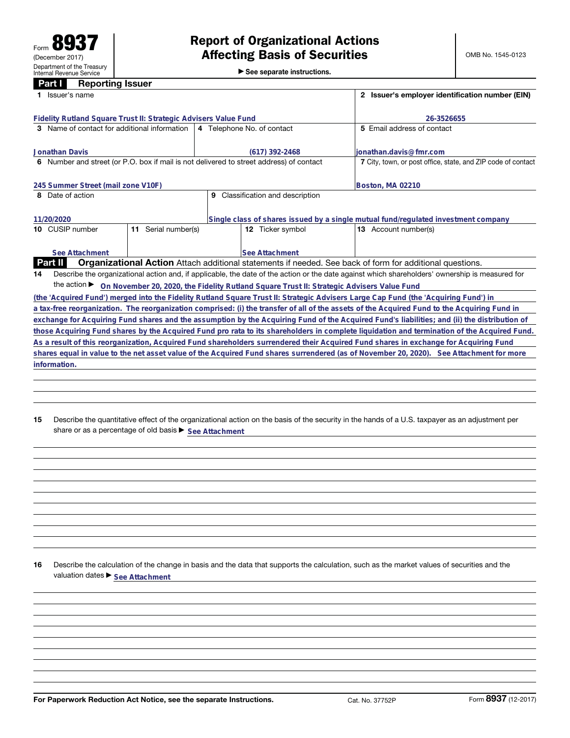**information.**

►<br>► See separate instructions.

| 1 Issuer's name<br>Fidelity Rutland Square Trust II: Strategic Advisers Value Fund<br>26-3526655<br><b>3</b> Name of contact for additional information<br>5 Email address of contact<br>4 Telephone No. of contact<br><b>Jonathan Davis</b><br>ionathan.davis@fmr.com<br>$(617)$ 392-2468<br>6 Number and street (or P.O. box if mail is not delivered to street address) of contact<br>7 City, town, or post office, state, and ZIP code of contact<br>245 Summer Street (mail zone V10F)<br>Boston, MA 02210<br>Classification and description<br>8 Date of action<br>9<br>Single class of shares issued by a single mutual fund/regulated investment company<br>11/20/2020<br>Serial number(s)<br>10 CUSIP number<br><b>12</b> Ticker symbol<br><b>13</b> Account number(s)<br>11<br>See Attachment<br>See Attachment<br><b>Part II</b><br>Organizational Action Attach additional statements if needed. See back of form for additional questions.<br>Describe the organizational action and, if applicable, the date of the action or the date against which shareholders' ownership is measured for<br>14<br>the action $\blacktriangleright$<br>On November 20, 2020, the Fidelity Rutland Square Trust II: Strategic Advisers Value Fund |  | Part I<br><b>Reporting Issuer</b> |  |  |  |                                                 |  |  |  |  |  |
|---------------------------------------------------------------------------------------------------------------------------------------------------------------------------------------------------------------------------------------------------------------------------------------------------------------------------------------------------------------------------------------------------------------------------------------------------------------------------------------------------------------------------------------------------------------------------------------------------------------------------------------------------------------------------------------------------------------------------------------------------------------------------------------------------------------------------------------------------------------------------------------------------------------------------------------------------------------------------------------------------------------------------------------------------------------------------------------------------------------------------------------------------------------------------------------------------------------------------------------------------|--|-----------------------------------|--|--|--|-------------------------------------------------|--|--|--|--|--|
|                                                                                                                                                                                                                                                                                                                                                                                                                                                                                                                                                                                                                                                                                                                                                                                                                                                                                                                                                                                                                                                                                                                                                                                                                                                   |  |                                   |  |  |  | 2 Issuer's employer identification number (EIN) |  |  |  |  |  |
|                                                                                                                                                                                                                                                                                                                                                                                                                                                                                                                                                                                                                                                                                                                                                                                                                                                                                                                                                                                                                                                                                                                                                                                                                                                   |  |                                   |  |  |  |                                                 |  |  |  |  |  |
|                                                                                                                                                                                                                                                                                                                                                                                                                                                                                                                                                                                                                                                                                                                                                                                                                                                                                                                                                                                                                                                                                                                                                                                                                                                   |  |                                   |  |  |  |                                                 |  |  |  |  |  |
|                                                                                                                                                                                                                                                                                                                                                                                                                                                                                                                                                                                                                                                                                                                                                                                                                                                                                                                                                                                                                                                                                                                                                                                                                                                   |  |                                   |  |  |  |                                                 |  |  |  |  |  |
|                                                                                                                                                                                                                                                                                                                                                                                                                                                                                                                                                                                                                                                                                                                                                                                                                                                                                                                                                                                                                                                                                                                                                                                                                                                   |  |                                   |  |  |  |                                                 |  |  |  |  |  |
|                                                                                                                                                                                                                                                                                                                                                                                                                                                                                                                                                                                                                                                                                                                                                                                                                                                                                                                                                                                                                                                                                                                                                                                                                                                   |  |                                   |  |  |  |                                                 |  |  |  |  |  |
|                                                                                                                                                                                                                                                                                                                                                                                                                                                                                                                                                                                                                                                                                                                                                                                                                                                                                                                                                                                                                                                                                                                                                                                                                                                   |  |                                   |  |  |  |                                                 |  |  |  |  |  |
|                                                                                                                                                                                                                                                                                                                                                                                                                                                                                                                                                                                                                                                                                                                                                                                                                                                                                                                                                                                                                                                                                                                                                                                                                                                   |  |                                   |  |  |  |                                                 |  |  |  |  |  |
|                                                                                                                                                                                                                                                                                                                                                                                                                                                                                                                                                                                                                                                                                                                                                                                                                                                                                                                                                                                                                                                                                                                                                                                                                                                   |  |                                   |  |  |  |                                                 |  |  |  |  |  |
|                                                                                                                                                                                                                                                                                                                                                                                                                                                                                                                                                                                                                                                                                                                                                                                                                                                                                                                                                                                                                                                                                                                                                                                                                                                   |  |                                   |  |  |  |                                                 |  |  |  |  |  |
|                                                                                                                                                                                                                                                                                                                                                                                                                                                                                                                                                                                                                                                                                                                                                                                                                                                                                                                                                                                                                                                                                                                                                                                                                                                   |  |                                   |  |  |  |                                                 |  |  |  |  |  |
|                                                                                                                                                                                                                                                                                                                                                                                                                                                                                                                                                                                                                                                                                                                                                                                                                                                                                                                                                                                                                                                                                                                                                                                                                                                   |  |                                   |  |  |  |                                                 |  |  |  |  |  |
|                                                                                                                                                                                                                                                                                                                                                                                                                                                                                                                                                                                                                                                                                                                                                                                                                                                                                                                                                                                                                                                                                                                                                                                                                                                   |  |                                   |  |  |  |                                                 |  |  |  |  |  |
|                                                                                                                                                                                                                                                                                                                                                                                                                                                                                                                                                                                                                                                                                                                                                                                                                                                                                                                                                                                                                                                                                                                                                                                                                                                   |  |                                   |  |  |  |                                                 |  |  |  |  |  |
|                                                                                                                                                                                                                                                                                                                                                                                                                                                                                                                                                                                                                                                                                                                                                                                                                                                                                                                                                                                                                                                                                                                                                                                                                                                   |  |                                   |  |  |  |                                                 |  |  |  |  |  |
|                                                                                                                                                                                                                                                                                                                                                                                                                                                                                                                                                                                                                                                                                                                                                                                                                                                                                                                                                                                                                                                                                                                                                                                                                                                   |  |                                   |  |  |  |                                                 |  |  |  |  |  |
|                                                                                                                                                                                                                                                                                                                                                                                                                                                                                                                                                                                                                                                                                                                                                                                                                                                                                                                                                                                                                                                                                                                                                                                                                                                   |  |                                   |  |  |  |                                                 |  |  |  |  |  |
|                                                                                                                                                                                                                                                                                                                                                                                                                                                                                                                                                                                                                                                                                                                                                                                                                                                                                                                                                                                                                                                                                                                                                                                                                                                   |  |                                   |  |  |  |                                                 |  |  |  |  |  |
|                                                                                                                                                                                                                                                                                                                                                                                                                                                                                                                                                                                                                                                                                                                                                                                                                                                                                                                                                                                                                                                                                                                                                                                                                                                   |  |                                   |  |  |  |                                                 |  |  |  |  |  |
| (the 'Acquired Fund') merged into the Fidelity Rutland Square Trust II: Strategic Advisers Large Cap Fund (the 'Acquiring Fund') in                                                                                                                                                                                                                                                                                                                                                                                                                                                                                                                                                                                                                                                                                                                                                                                                                                                                                                                                                                                                                                                                                                               |  |                                   |  |  |  |                                                 |  |  |  |  |  |
| a tax-free reorganization. The reorganization comprised: (i) the transfer of all of the assets of the Acquired Fund to the Acquiring Fund in                                                                                                                                                                                                                                                                                                                                                                                                                                                                                                                                                                                                                                                                                                                                                                                                                                                                                                                                                                                                                                                                                                      |  |                                   |  |  |  |                                                 |  |  |  |  |  |
| exchange for Acquiring Fund shares and the assumption by the Acquiring Fund of the Acquired Fund's liabilities; and (ii) the distribution of                                                                                                                                                                                                                                                                                                                                                                                                                                                                                                                                                                                                                                                                                                                                                                                                                                                                                                                                                                                                                                                                                                      |  |                                   |  |  |  |                                                 |  |  |  |  |  |
| those Acquiring Fund shares by the Acquired Fund pro rata to its shareholders in complete liquidation and termination of the Acquired Fund.                                                                                                                                                                                                                                                                                                                                                                                                                                                                                                                                                                                                                                                                                                                                                                                                                                                                                                                                                                                                                                                                                                       |  |                                   |  |  |  |                                                 |  |  |  |  |  |
| As a result of this reorganization, Acquired Fund shareholders surrendered their Acquired Fund shares in exchange for Acquiring Fund                                                                                                                                                                                                                                                                                                                                                                                                                                                                                                                                                                                                                                                                                                                                                                                                                                                                                                                                                                                                                                                                                                              |  |                                   |  |  |  |                                                 |  |  |  |  |  |
| shares equal in value to the net asset value of the Acquired Fund shares surrendered (as of November 20, 2020). See Attachment for more                                                                                                                                                                                                                                                                                                                                                                                                                                                                                                                                                                                                                                                                                                                                                                                                                                                                                                                                                                                                                                                                                                           |  |                                   |  |  |  |                                                 |  |  |  |  |  |

**15** Describe the quantitative effect of the organizational action on the basis of the security in the hands of a U.S. taxpayer as an adjustment per share or as a percentage of old basis  $\blacktriangleright$  <u>See Attachment</u>

**16** Describe the calculation of the change in basis and the data that supports the calculation, such as the market values of securities and the valuation dates  $\blacktriangleright$  **See Attachment**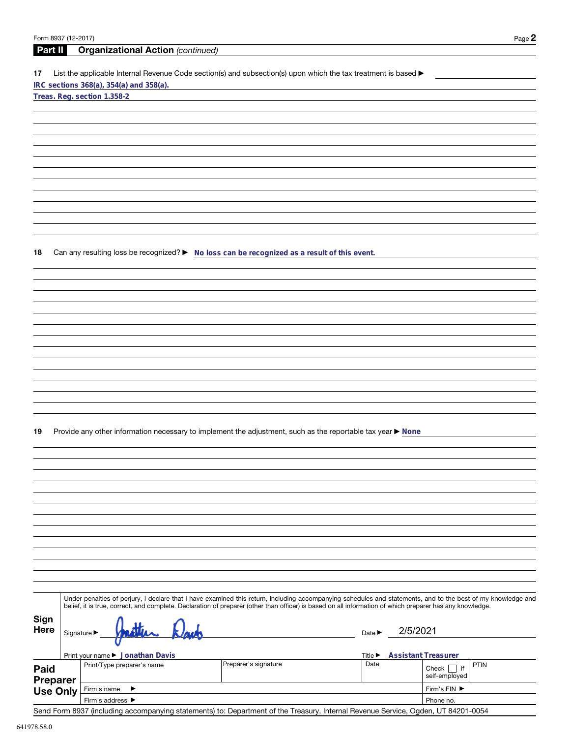| Form 8937 (12-2017)     |                                 |                                                                                                                                                                                                                                                                                                                          |                             |          | Page 2                     |  |  |
|-------------------------|---------------------------------|--------------------------------------------------------------------------------------------------------------------------------------------------------------------------------------------------------------------------------------------------------------------------------------------------------------------------|-----------------------------|----------|----------------------------|--|--|
| <b>Part II</b>          |                                 | <b>Organizational Action (continued)</b>                                                                                                                                                                                                                                                                                 |                             |          |                            |  |  |
| 17                      |                                 | List the applicable Internal Revenue Code section(s) and subsection(s) upon which the tax treatment is based ▶                                                                                                                                                                                                           |                             |          |                            |  |  |
|                         |                                 | IRC sections 368(a), 354(a) and 358(a).                                                                                                                                                                                                                                                                                  |                             |          |                            |  |  |
|                         |                                 | Treas. Reg. section 1.358-2                                                                                                                                                                                                                                                                                              |                             |          |                            |  |  |
|                         |                                 |                                                                                                                                                                                                                                                                                                                          |                             |          |                            |  |  |
|                         |                                 |                                                                                                                                                                                                                                                                                                                          |                             |          |                            |  |  |
|                         |                                 |                                                                                                                                                                                                                                                                                                                          |                             |          |                            |  |  |
|                         |                                 |                                                                                                                                                                                                                                                                                                                          |                             |          |                            |  |  |
|                         |                                 |                                                                                                                                                                                                                                                                                                                          |                             |          |                            |  |  |
|                         |                                 |                                                                                                                                                                                                                                                                                                                          |                             |          |                            |  |  |
|                         |                                 |                                                                                                                                                                                                                                                                                                                          |                             |          |                            |  |  |
|                         |                                 |                                                                                                                                                                                                                                                                                                                          |                             |          |                            |  |  |
|                         |                                 |                                                                                                                                                                                                                                                                                                                          |                             |          |                            |  |  |
|                         |                                 |                                                                                                                                                                                                                                                                                                                          |                             |          |                            |  |  |
|                         |                                 |                                                                                                                                                                                                                                                                                                                          |                             |          |                            |  |  |
| 18                      |                                 | Can any resulting loss be recognized? ► No loss can be recognized as a result of this event.                                                                                                                                                                                                                             |                             |          |                            |  |  |
|                         |                                 |                                                                                                                                                                                                                                                                                                                          |                             |          |                            |  |  |
|                         |                                 |                                                                                                                                                                                                                                                                                                                          |                             |          |                            |  |  |
|                         |                                 |                                                                                                                                                                                                                                                                                                                          |                             |          |                            |  |  |
|                         |                                 |                                                                                                                                                                                                                                                                                                                          |                             |          |                            |  |  |
|                         |                                 |                                                                                                                                                                                                                                                                                                                          |                             |          |                            |  |  |
|                         |                                 |                                                                                                                                                                                                                                                                                                                          |                             |          |                            |  |  |
|                         |                                 |                                                                                                                                                                                                                                                                                                                          |                             |          |                            |  |  |
|                         |                                 |                                                                                                                                                                                                                                                                                                                          |                             |          |                            |  |  |
|                         |                                 |                                                                                                                                                                                                                                                                                                                          |                             |          |                            |  |  |
|                         |                                 |                                                                                                                                                                                                                                                                                                                          |                             |          |                            |  |  |
|                         |                                 |                                                                                                                                                                                                                                                                                                                          |                             |          |                            |  |  |
|                         |                                 |                                                                                                                                                                                                                                                                                                                          |                             |          |                            |  |  |
|                         |                                 |                                                                                                                                                                                                                                                                                                                          |                             |          |                            |  |  |
| 19                      |                                 | Provide any other information necessary to implement the adjustment, such as the reportable tax year ▶ None                                                                                                                                                                                                              |                             |          |                            |  |  |
|                         |                                 |                                                                                                                                                                                                                                                                                                                          |                             |          |                            |  |  |
|                         |                                 |                                                                                                                                                                                                                                                                                                                          |                             |          |                            |  |  |
|                         |                                 |                                                                                                                                                                                                                                                                                                                          |                             |          |                            |  |  |
|                         |                                 |                                                                                                                                                                                                                                                                                                                          |                             |          |                            |  |  |
|                         |                                 |                                                                                                                                                                                                                                                                                                                          |                             |          |                            |  |  |
|                         |                                 |                                                                                                                                                                                                                                                                                                                          |                             |          |                            |  |  |
|                         |                                 |                                                                                                                                                                                                                                                                                                                          |                             |          |                            |  |  |
|                         |                                 |                                                                                                                                                                                                                                                                                                                          |                             |          |                            |  |  |
|                         |                                 |                                                                                                                                                                                                                                                                                                                          |                             |          |                            |  |  |
|                         |                                 |                                                                                                                                                                                                                                                                                                                          |                             |          |                            |  |  |
|                         |                                 |                                                                                                                                                                                                                                                                                                                          |                             |          |                            |  |  |
|                         |                                 |                                                                                                                                                                                                                                                                                                                          |                             |          |                            |  |  |
|                         |                                 | Under penalties of perjury, I declare that I have examined this return, including accompanying schedules and statements, and to the best of my knowledge and<br>belief, it is true, correct, and complete. Declaration of preparer (other than officer) is based on all information of which preparer has any knowledge. |                             |          |                            |  |  |
|                         |                                 |                                                                                                                                                                                                                                                                                                                          |                             |          |                            |  |  |
| Sign<br><b>Here</b>     |                                 |                                                                                                                                                                                                                                                                                                                          |                             | 2/5/2021 |                            |  |  |
|                         | Signature $\blacktriangleright$ |                                                                                                                                                                                                                                                                                                                          | Date $\blacktriangleright$  |          |                            |  |  |
|                         |                                 | Print your name ▶ Jonathan Davis                                                                                                                                                                                                                                                                                         | Title $\blacktriangleright$ |          | <b>Assistant Treasurer</b> |  |  |
|                         |                                 | Preparer's signature<br>Print/Type preparer's name                                                                                                                                                                                                                                                                       | Date                        |          | PTIN<br>Check $\Box$ if    |  |  |
| Paid<br><b>Preparer</b> |                                 |                                                                                                                                                                                                                                                                                                                          |                             |          | self-employed              |  |  |
| <b>Use Only</b>         |                                 | Firm's name<br>▶                                                                                                                                                                                                                                                                                                         |                             |          | Firm's EIN ▶               |  |  |
|                         |                                 | Firm's address ▶                                                                                                                                                                                                                                                                                                         |                             |          | Phone no.                  |  |  |

Send Form 8937 (including accompanying statements) to: Department of the Treasury, Internal Revenue Service, Ogden, UT 84201-0054